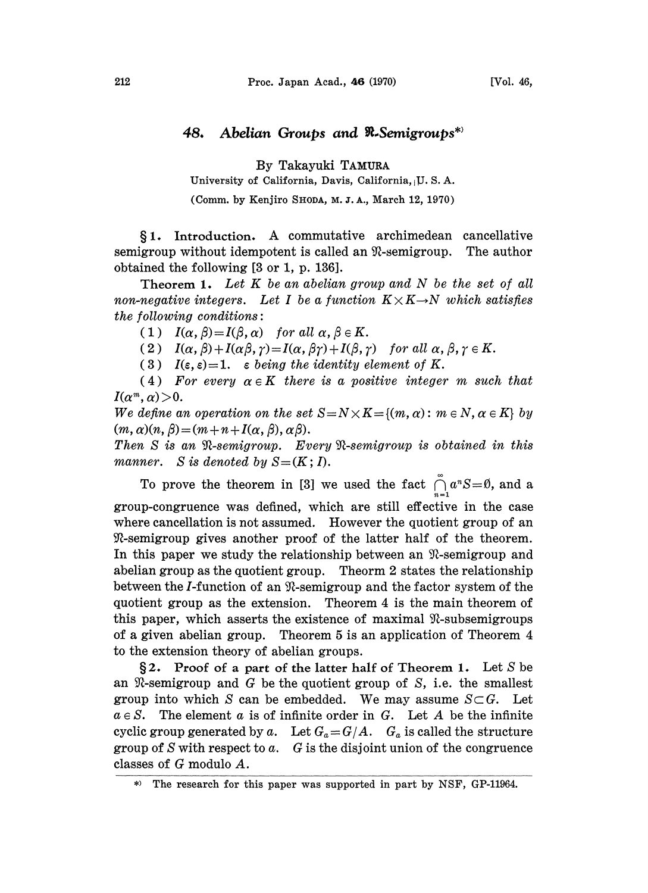## 48. Abelian Groups and R-Semigroups<sup>\*</sup>

By Takayuki TAMURA

University of California, Davis, California, U.S.A.

(Comm. by Kenjiro SHODA, M. J. A., March 12, 1970)

 $§ 1.$  Introduction. A commutative archimedean cancellative igroup without idempotent is called an  $\Re$ -semigroup. The author semigroup without idempotent is called an  $\mathcal{R}$ -semigroup. obtained the following [3 or 1, p. 136].

**Theorem 1.** Let  $K$  be an abelian group and  $N$  be the set of all non-negative integers. Let I be a function  $K \times K \rightarrow N$  which satisfies  $the following conditions:$ 

(1)  $I(\alpha, \beta) = I(\beta, \alpha)$  for all  $\alpha, \beta \in K$ .

(2)  $I(\alpha, \beta) + I(\alpha\beta, \gamma) = I(\alpha, \beta\gamma) + I(\beta, \gamma)$  for all  $\alpha, \beta, \gamma \in K$ .

(3)  $I(\varepsilon, \varepsilon)=1$ ,  $\varepsilon$  being the identity element of K.

(4) For every  $\alpha \in K$  there is a positive integer m such that  $I(\alpha^m, \alpha) > 0$ .

We define an operation on the set  $S=N\times K={(m,\alpha): m\in N, \alpha\in K}$  by  $(m, \alpha)(n, \beta) = (m + n + I(\alpha, \beta), \alpha\beta).$ 

Then S is an R-semigroup. Every R-semigroup is obtained in this manner. S is denoted by  $S=(K; I)$ .

To prove the theorem in [3] we used the fact  $\int_{-1}^{\infty} a^n S = \emptyset$ , and a group-congruence was defined, which are still effective in the case where cancellation is not assumed. However the quotient group of an -semigroup gives another proof of the latter half of the theorem. In this paper we study the relationship between an  $\mathcal{R}$ -semigroup and abelian group as the quotient group. Theorm 2 states the relationship between the *I*-function of an  $\mathcal{R}$ -semigroup and the factor system of the quotient group as the extension. Theorem 4 is the main theorem of this paper, which asserts the existence of maximal  $\mathcal{R}$ -subsemigroups of a given abelian group. Theorem 5 is an application of Theorem 4 to the extension theory of abelian groups.

§2. Proof of a part of the latter half of Theorem 1. Let  $S$  be an  $\mathfrak{R}$ -semigroup and G be the quotient group of S, i.e. the smallest group into which S can be embedded. We may assume  $S \subset G$ . Let  $a \in S$ . The element a is of infinite order in G. Let A be the infinite cyclic group generated by a. Let  $G_a = G/A$ .  $G_a$  is called the structure group of S with respect to  $a$ . G is the disjoint union of the congruence classes of G modulo A.

<sup>\*)</sup> The research for this paper was supported in part by NSF, GP-11964.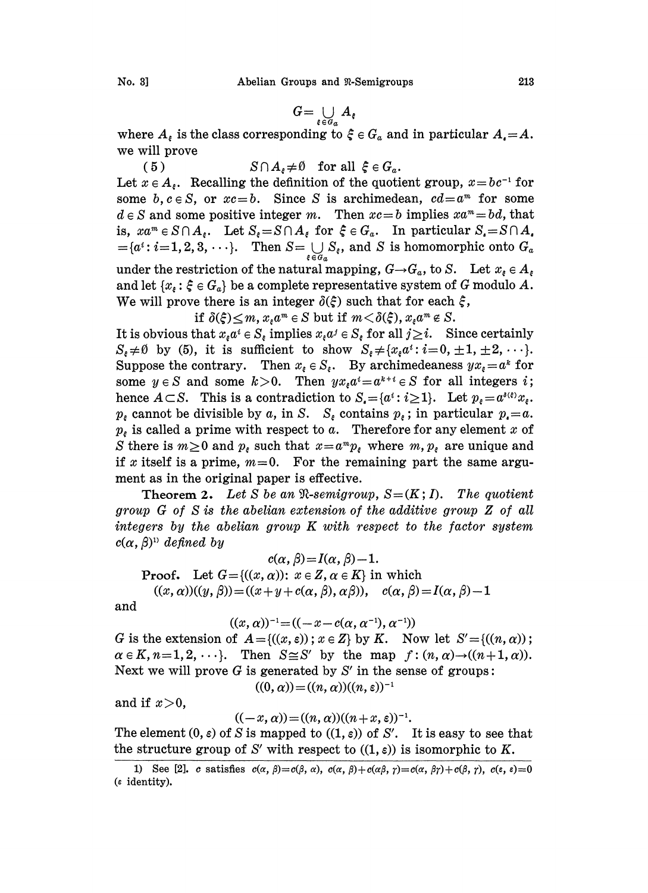$$
[0, 3]
$$

$$
G=\bigcup_{\xi\in G_{a}}A_{\xi}
$$

where  $A_{\varepsilon}$  is the class corresponding to  $\xi \in G_a$  and in particular  $A_{\varepsilon} = A$ . we will prove

(5)  $S \cap A_s \neq \emptyset$  for all  $\xi \in G_a$ .

Let  $x \in A_{\varepsilon}$ . Recalling the definition of the quotient group,  $x = bc^{-1}$  for Let  $x \in A_{\epsilon}$ . Recalling the definition of the quotient group,  $x = bc^{-1}$  for some b,  $c \in S$ , or  $xc = b$ . Since S is archimedean,  $cd = a^m$  for some  $d \in S$  and some positive integer m. Then  $xc = b$  implies  $xa^m = bd$ , that is,  $xa^m \in S \cap A_{\epsilon}$ . Let  $S_{\epsilon} = S \cap A_{\epsilon}$  for  $\xi \in G_a$ . In particular  $S_{\epsilon} = S \cap A_{\epsilon}$  $=\{a^i : i=1, 2, 3, \cdots\}.$  Then  $S=\bigcup_{\xi \in G_a} S_{\xi}$ , and S is homomorphic onto  $G_a$ under the restriction of the natural mapping,  $G \rightarrow G_a$ , to S. Let  $x_i \in A_i$ and let  $\{x_{\varepsilon} : \xi \in G_a\}$  be a complete representative system of G modulo A. We will prove there is an integer  $\delta(\xi)$  such that for each  $\xi$ ,

if  $\delta(\xi) \leq m$ ,  $x_{\xi} a^m \in S$  but if  $m < \delta(\xi)$ ,  $x_{\xi} a^m \notin S$ .

It is obvious that  $x_{\epsilon}a^i \in S_{\epsilon}$  implies  $x_{\epsilon}a^j \in S_{\epsilon}$  for all  $j \geq i$ . Since certainly If  $o(\xi) \leq m$ ,  $x_{\xi}a^m \in S$  but if  $m < o(\xi)$ ,  $x_{\xi}a^m \in S$ .<br>It is obvious that  $x_{\xi}a^i \in S_{\xi}$  implies  $x_{\xi}a^j \in S_{\xi}$  for all  $j \geq i$ . Since certainly  $S_{\xi} \neq \emptyset$  by (5), it is sufficient to show  $S_{\xi} \neq \{x_{\xi}a$ Suppose the contrary. Then  $x_{\varepsilon} \in S_{\varepsilon}$ . By archimedeaness  $yx_{\varepsilon} = a^k$  for some  $y \in S$  and some  $k>0$ . Then  $yx_{\epsilon}a^i = a^{k+i} \in S$  for all integers *i*; hence  $A \subset S$ . This is a contradiction to  $S_{\epsilon} = \{a^i : i \geq 1\}$ . Let  $p_{\epsilon} = a^{i(\epsilon)} x_{\epsilon}$ .  $p_{\varepsilon}$  cannot be divisible by a, in S.  $S_{\varepsilon}$  contains  $p_{\varepsilon}$ ; in particular  $p_{\varepsilon} = a$ .  $p<sub>ε</sub>$  is called a prime with respect to a. Therefore for any element x of S there is  $m\geq 0$  and  $p_{\varepsilon}$  such that  $x=a^mp_{\varepsilon}$  where  $m, p_{\varepsilon}$  are unique and if x itself is a prime,  $m=0$ . For the remaining part the same argument as in the original paper is effective.

**Theorem 2.** Let S be an  $\Re$ -semigroup,  $S = (K, I)$ . The quotient group G of S is the abelian extension of the additive group Z of all integers by the abelian group K with respect to the factor system  $c(\alpha, \beta)$ <sup>1</sup> defined by

 $c(\alpha, \beta) = I(\alpha, \beta) - 1.$ **Proof.** Let  $G = \{((x, \alpha)) : x \in \mathbb{Z}, \alpha \in \mathbb{K}\}\)$  in which  $((x, \alpha))((y, \beta)) = ((x + y + c(\alpha, \beta), \alpha\beta)), \quad c(\alpha, \beta) = I(\alpha, \beta)-1$ 

and

$$
((x,\alpha))^{-1} = ((-x-c(\alpha,\alpha^{-1}),\alpha^{-1}))
$$

G is the extension of  $A = \{(x, \varepsilon) : x \in Z\}$  by K. Now let  $S' = \{(n, \alpha)\}$ ;  $\alpha \in K$ ,  $n=1, 2, \dots$ . Then  $S \cong S'$  by the map  $f : (n, \alpha) \rightarrow ((n+1, \alpha))$ . Next we will prove  $G$  is generated by  $S'$  in the sense of groups:

 $((0, \alpha)) = ((n, \alpha))((n, \varepsilon))^{-1}$ 

and if  $x>0$ ,

 $((-x, \alpha)) = ((n, \alpha))((n + x, \varepsilon))^{-1}.$ 

The element  $(0, \varepsilon)$  of S is mapped to  $((1, \varepsilon))$  of S'. It is easy to see that the structure group of S' with respect to  $((1, \varepsilon))$  is isomorphic to K.

<sup>1)</sup> See [2]. c satisfies  $c(\alpha, \beta)=c(\beta, \alpha)$ ,  $c(\alpha, \beta)+c(\alpha\beta, \gamma)=c(\alpha, \beta\gamma)+c(\beta, \gamma)$ ,  $c(\epsilon, \epsilon)=0$  $($ s identity).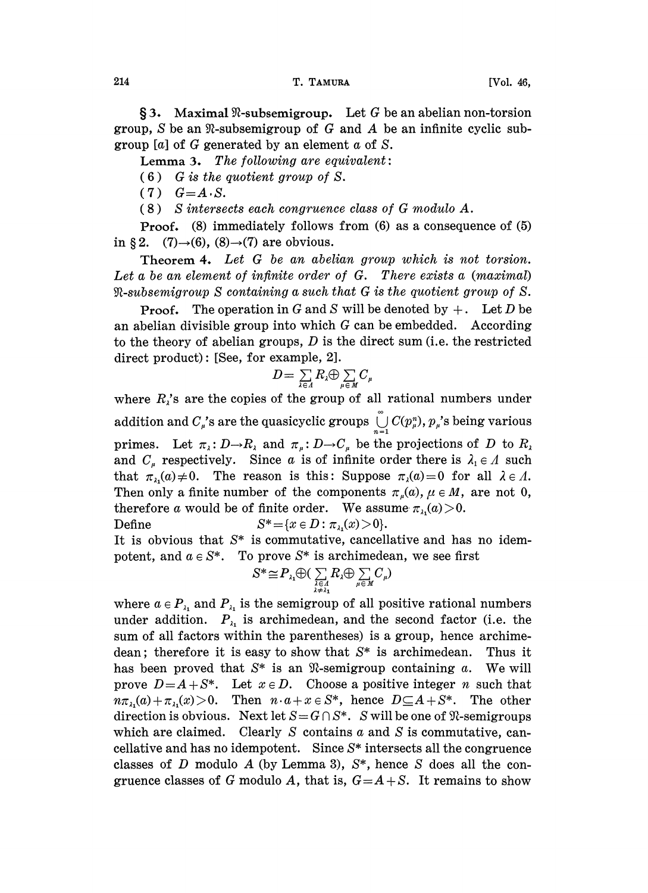214 T. TAMURA [Vol. 46,

 $\S$ 3. Maximal  $\Re$ -subsemigroup. Let G be an abelian non-torsion group, S be an  $\mathcal R$ -subsemigroup of G and A be an infinite cyclic subgroup [a] of G generated by an element  $\alpha$  of S.

Lemma 3. The following are equivalent:

 $(6)$  G is the quotient group of S.

 $(7)$   $G=A S$ .

(8) S intersects each congruence class of G modulo A.

Proof. (8) immediately follows from (6) as a consequence of (5) in § 2. (7) $\rightarrow$ (6), (8) $\rightarrow$ (7) are obvious.

Theorem 4. Let G be an abelian group which is not torsion. Let a be an element of infinite order of G. There exists a (maximal)  $\Re$ -subsemigroup S containing a such that G is the quotient group of S.

**Proof.** The operation in G and S will be denoted by  $+$ . Let D be an abelian divisible group into which G can be embedded. According to the theory of abelian groups,  $D$  is the direct sum (i.e. the restricted direct product): [See, for example, 2].

$$
D=\sum_{\lambda\in\Lambda}R_{\lambda}\bigoplus\sum_{\mu\in M}C_{\mu}
$$

where  $R_i$ 's are the copies of the group of all rational numbers under addition and  $C_{\mu}$ 's are the quasicyclic groups  $\bigcup_{n=1}^{\infty} C(p_{\mu}^{n}), p_{\mu}$ 's being various primes. Let  $\pi_{\lambda}: D \to R_{\lambda}$  and  $\pi_{\mu}: D \to C_{\mu}$  be the projections of D to  $R_{\lambda}$  and  $C_{\mu}$  respectively. Since a is of infinite order there is  $\lambda_1 \in A$  such primes. Let  $\pi_{\lambda}: D \to R_{\lambda}$  and  $\pi_{\mu}: D \to C_{\mu}$  be the projections of D to  $R_{\lambda}$ that  $\pi_{\lambda}(a) \neq 0$ . The reason is this: Suppose  $\pi_{\lambda}(a)=0$  for all  $\lambda \in \Lambda$ . Then only a finite number of the components  $\pi_{\mu}(a)$ ,  $\mu \in M$ , are not 0, therefore a would be of finite order. We assume  $\pi_{\lambda_1}(a) > 0$ .

Define  $S^* = \{x \in D : \pi_{\lambda}(x) > 0\}.$ 

It is obvious that  $S^*$  is commutative, cancellative and has no idempotent, and  $a \in S^*$ . To prove  $S^*$  is archimedean, we see first  $S^* \cong P_{\lambda_1} \oplus (\sum_{\lambda \in \Lambda} R_{\lambda} \oplus \sum_{\mu \in \Lambda} C_{\mu})$ 

$$
S^* \cong P_{\lambda_1} \oplus (\sum_{\substack{\lambda \in \Lambda \\ \lambda \neq \lambda_1}} R_{\lambda} \oplus \sum_{\mu \in M} C_{\mu})
$$

where  $a \in P_{\lambda_1}$  and  $P_{\lambda_1}$  is the semigroup of all positive rational numbers under addition.  $P_{\lambda_1}$  is archimedean, and the second factor (i.e. the sum of all factors within the parentheses) is a group, hence archimedean; therefore it is easy to show that  $S^*$  is archimedean. Thus it has been proved that  $S^*$  is an  $\mathfrak{R}$ -semigroup containing a. We will prove  $D=A+S^*$ . Let  $x \in D$ . Choose a positive integer n such that  $n\pi_{\lambda}(a)+\pi_{\lambda}(x)>0$ . Then  $n\cdot a+x\in S^*$ , hence  $D\subseteq A+S^*$ . The other direction is obvious. Next let  $S = G \cap S^*$ . S will be one of  $\Re$ -semigroups which are claimed. Clearly S contains  $\alpha$  and S is commutative, cancellative and has no idempotent. Since  $S^*$  intersects all the congruence classes of D modulo A (by Lemma 3),  $S^*$ , hence S does all the congruence classes of G modulo A, that is,  $G = A + S$ . It remains to show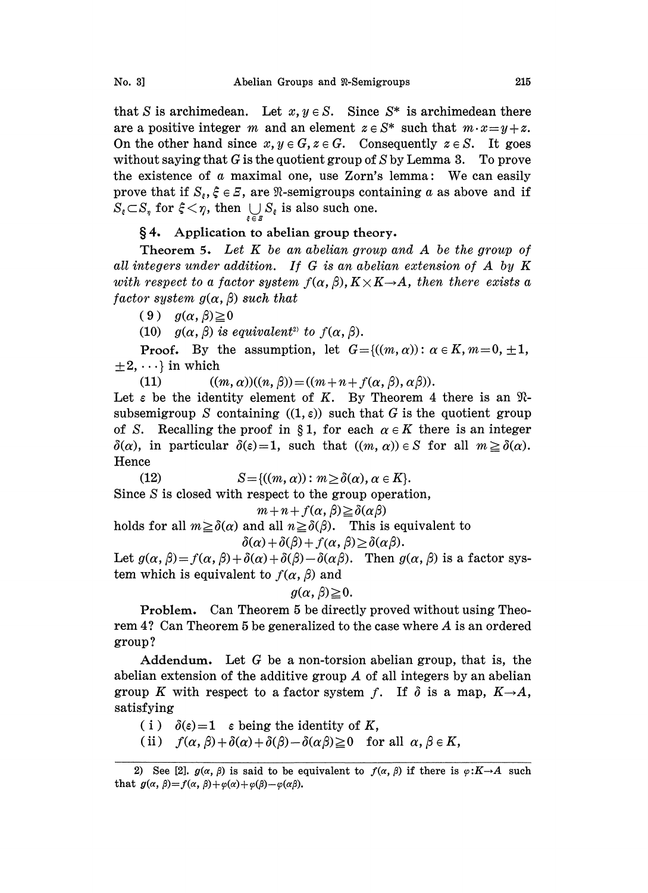that S is archimedean. Let  $x, y \in S$ . Since  $S^*$  is archimedean there are a positive integer m and an element  $z \in S^*$  such that  $m \cdot x = y + z$ . On the other hand since  $x, y \in G$ ,  $z \in G$ . Consequently  $z \in S$ . It goes without saying that G is the quotient group of  $S$  by Lemma 3. To prove the existence of  $\alpha$  maximal one, use Zorn's lemma: We can easily prove that if  $S_{\varepsilon}, \xi \in \mathbb{Z}$ , are  $\Re$ -semigroups containing a as above and if  $S_{\varepsilon} \subset S_{\eta}$  for  $\xi < \eta$ , then  $\bigcup_{\xi \in \mathcal{S}} S_{\varepsilon}$  is also such one.

## 4. Application to abelian group theory.

Theorem 5. Let K be an abelian group and A be the group of all integers under addition. If G is an abelian extension of A by K with respect to a factor system  $f(\alpha, \beta), K \times K \rightarrow A$ , then there exists a factor system  $g(\alpha, \beta)$  such that

 $(9)$   $g(\alpha, \beta) \ge 0$ 

(10)  $g(\alpha, \beta)$  is equivalent<sup>2</sup> to  $f(\alpha, \beta)$ .

**Proof.** By the assumption, let  $G = \{((m, \alpha)) : \alpha \in K, m = 0, \pm 1, \ldots\}$  $\pm 2, \cdots$  in which

(11)  $((m, \alpha))((n, \beta)) = ((m + n + f(\alpha, \beta), \alpha\beta)).$ 

Let  $\varepsilon$  be the identity element of K. By Theorem 4 there is an  $\mathcal{R}$ - $\delta(\alpha)$ , in particular  $\delta(\epsilon)=1$ , such that  $((m, \alpha)) \in S$  for all  $m \geq \delta(\alpha)$ . of S. Recalling the proof in §1, for each  $\alpha \in K$  there is an integer  $\delta(\alpha)$ , in particular  $\delta(s) = 1$ , such that  $((m, \alpha)) \in S$  for all  $m > \delta(\alpha)$ . subsemigroup S containing  $((1, \varepsilon))$  such that G is the quotient group Hence

(12) 
$$
S = \{((m, \alpha)) : m \ge \delta(\alpha), \alpha \in K\}.
$$
 Since S is closed with respect to the group operation,

 $m+n+f(\alpha,\beta) \ge \delta(\alpha\beta)$ 

holds for all  $m \geq \delta(\alpha)$  and all  $n \geq \delta(\beta)$ . This is equivalent to  $\delta(\alpha) + \delta(\beta) + f(\alpha, \beta) \geq \delta(\alpha\beta).$ 

Let  $g(\alpha, \beta) = f(\alpha, \beta) + \delta(\alpha) + \delta(\beta) - \delta(\alpha \beta)$ . Then  $g(\alpha, \beta)$  is a factor system which is equivalent to  $f(\alpha, \beta)$  and

$$
g(\alpha, \beta) \geq 0.
$$

Problem. Can Theorem 5 be directly proved without using Theorem 4? Can Theorem <sup>5</sup> be generalized to the case where A is an ordered group ?

Addendum. Let  $G$  be a non-torsion abelian group, that is, the abelian extension of the additive group A of all integers by an abelian group K with respect to a factor system f. If  $\delta$  is a map,  $K\rightarrow A$ , satisfying

(i)  $\delta(\varepsilon)=1$   $\varepsilon$  being the identity of K,

(ii)  $f(\alpha,\beta)+\delta(\alpha)+\delta(\beta)-\delta(\alpha\beta)\geq 0$  for all  $\alpha,\beta\in K$ ,

<sup>2)</sup> See [2].  $g(\alpha, \beta)$  is said to be equivalent to  $f(\alpha, \beta)$  if there is  $\varphi: K \rightarrow A$  such that  $g(\alpha, \beta)=f(\alpha, \beta)+\varphi(\alpha)+\varphi(\beta)-\varphi(\alpha\beta).$